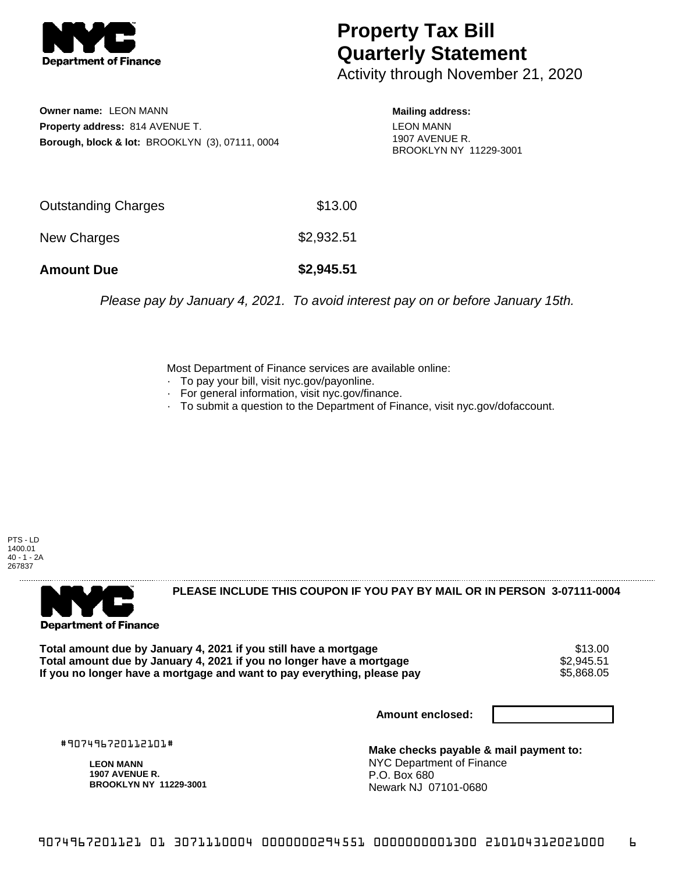

## **Property Tax Bill Quarterly Statement**

Activity through November 21, 2020

**Owner name:** LEON MANN **Property address:** 814 AVENUE T. **Borough, block & lot:** BROOKLYN (3), 07111, 0004

**Mailing address:** LEON MANN 1907 AVENUE R. BROOKLYN NY 11229-3001

| <b>Amount Due</b>   | \$2,945.51 |
|---------------------|------------|
| New Charges         | \$2,932.51 |
| Outstanding Charges | \$13.00    |

Please pay by January 4, 2021. To avoid interest pay on or before January 15th.

Most Department of Finance services are available online:

- · To pay your bill, visit nyc.gov/payonline.
- For general information, visit nyc.gov/finance.
- · To submit a question to the Department of Finance, visit nyc.gov/dofaccount.





**PLEASE INCLUDE THIS COUPON IF YOU PAY BY MAIL OR IN PERSON 3-07111-0004** 

Total amount due by January 4, 2021 if you still have a mortgage **1986 of the Standard Standard Standard Standar**<br>Total amount due by January 4, 2021 if you no longer have a mortgage **1986 of the Standard Standard Standard Total amount due by January 4, 2021 if you no longer have a mortgage**  $$2,945.51$$ **<br>If you no longer have a mortgage and want to pay everything, please pay**  $$5,868.05$$ If you no longer have a mortgage and want to pay everything, please pay

**Amount enclosed:**

#907496720112101#

**LEON MANN 1907 AVENUE R. BROOKLYN NY 11229-3001**

**Make checks payable & mail payment to:** NYC Department of Finance P.O. Box 680 Newark NJ 07101-0680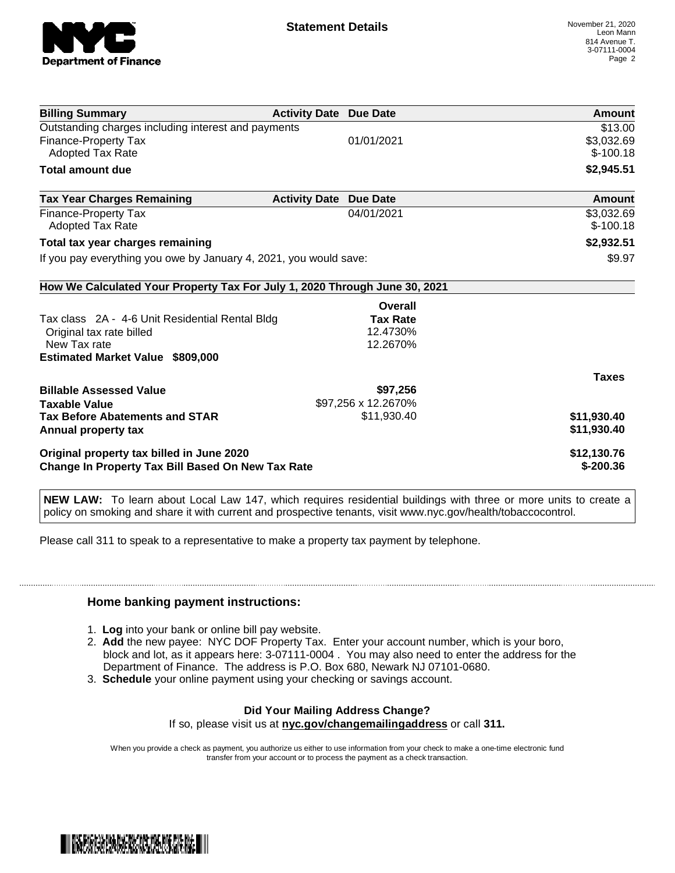

| <b>Billing Summary</b>                                                     | <b>Activity Date Due Date</b> |                     | Amount       |
|----------------------------------------------------------------------------|-------------------------------|---------------------|--------------|
| Outstanding charges including interest and payments                        |                               |                     | \$13.00      |
| Finance-Property Tax                                                       |                               | 01/01/2021          | \$3,032.69   |
| Adopted Tax Rate                                                           |                               |                     | $$-100.18$   |
| <b>Total amount due</b>                                                    |                               |                     | \$2,945.51   |
| <b>Tax Year Charges Remaining</b>                                          | <b>Activity Date</b>          | <b>Due Date</b>     | Amount       |
| Finance-Property Tax                                                       |                               | 04/01/2021          | \$3,032.69   |
| <b>Adopted Tax Rate</b>                                                    |                               |                     | $$-100.18$   |
| Total tax year charges remaining                                           |                               |                     | \$2,932.51   |
| If you pay everything you owe by January 4, 2021, you would save:          |                               |                     | \$9.97       |
| How We Calculated Your Property Tax For July 1, 2020 Through June 30, 2021 |                               |                     |              |
|                                                                            |                               | Overall             |              |
| Tax class 2A - 4-6 Unit Residential Rental Bldg                            |                               | <b>Tax Rate</b>     |              |
| Original tax rate billed                                                   |                               | 12.4730%            |              |
| New Tax rate                                                               |                               | 12.2670%            |              |
| <b>Estimated Market Value \$809,000</b>                                    |                               |                     |              |
|                                                                            |                               |                     | <b>Taxes</b> |
| <b>Billable Assessed Value</b>                                             |                               | \$97,256            |              |
| <b>Taxable Value</b>                                                       |                               | \$97,256 x 12.2670% |              |
| <b>Tax Before Abatements and STAR</b>                                      |                               | \$11,930.40         | \$11,930.40  |
| Annual property tax                                                        |                               |                     | \$11,930.40  |
| Original property tax billed in June 2020                                  |                               |                     | \$12,130.76  |
| <b>Change In Property Tax Bill Based On New Tax Rate</b>                   |                               |                     | $$-200.36$   |

**NEW LAW:** To learn about Local Law 147, which requires residential buildings with three or more units to create a policy on smoking and share it with current and prospective tenants, visit www.nyc.gov/health/tobaccocontrol.

Please call 311 to speak to a representative to make a property tax payment by telephone.

## **Home banking payment instructions:**

- 1. **Log** into your bank or online bill pay website.
- 2. **Add** the new payee: NYC DOF Property Tax. Enter your account number, which is your boro, block and lot, as it appears here: 3-07111-0004 . You may also need to enter the address for the Department of Finance. The address is P.O. Box 680, Newark NJ 07101-0680.
- 3. **Schedule** your online payment using your checking or savings account.

## **Did Your Mailing Address Change?**

If so, please visit us at **nyc.gov/changemailingaddress** or call **311.**

When you provide a check as payment, you authorize us either to use information from your check to make a one-time electronic fund transfer from your account or to process the payment as a check transaction.